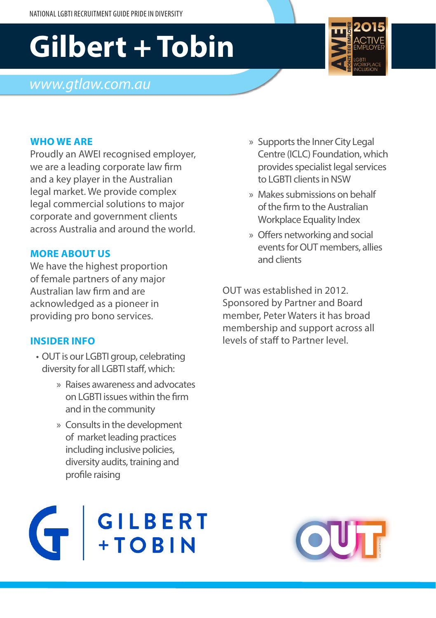# **Gilbert + Tobin**

# *www.gtlaw.com.au*

#### **WHO WE ARE**

Proudly an AWEI recognised employer, we are a leading corporate law firm and a key player in the Australian legal market. We provide complex legal commercial solutions to major corporate and government clients across Australia and around the world.

### **MORE ABOUT US**

We have the highest proportion of female partners of any major Australian law firm and are acknowledged as a pioneer in providing pro bono services.

### **INSIDER INFO**

- OUT is our LGBTI group, celebrating diversity for all LGBTI staff, which:
	- » Raises awareness and advocates on LGBTI issues within the firm and in the community
	- » Consults in the development of market leading practices including inclusive policies, diversity audits, training and profile raising



- » Supports the Inner City Legal Centre (ICLC) Foundation, which provides specialist legal services to LGBTI clients in NSW
- » Makes submissions on behalf of the firm to the Australian Workplace Equality Index
- » Offers networking and social events for OUT members, allies and clients

OUT was established in 2012. Sponsored by Partner and Board member, Peter Waters it has broad membership and support across all levels of staff to Partner level.